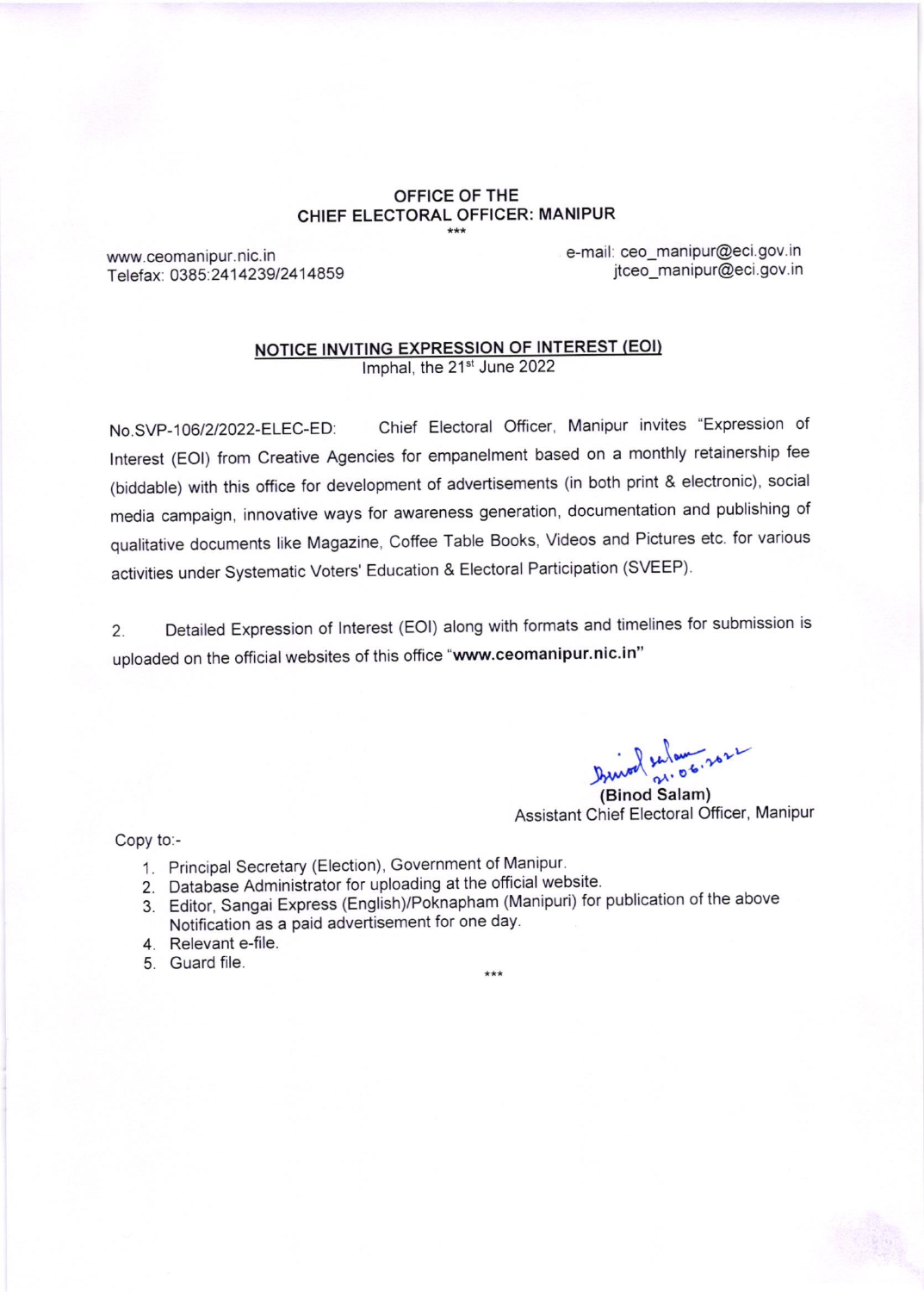## OFFICE OF THE CHIEF ELECTORAL OFFICER: MANIPUR

www.ceomanipur. nic. in Telefax: 0385: 24 1 42391241 4859 e-mail: ceo\_manipur@eci.gov.in jtceo\_manipur@eci.gov.in

## NOTICE INVITING EXPRESSION OF INTEREST (EOI)

Imphal, the 21<sup>st</sup> June 2022

No.SVP-106/2/2022-ELEC-ED: chief Electoral officer, Manipur invites "Expression of lnterest (EOl) from creative Agencies for empanelment based on a monthly retainership fee (biddable) with this office for development of advertisements (in both print & electronic), social media campaign, innovative ways for awareness generation, documentation and publishing of qualitative documents like Magazine, coffee Table Books, Videos and Pictures etc. for various activities under Systematic Voters' Education & Electoral Participation (SVEEP).

2. Detailed Expression of lnterest (EOl) along with formats and timelines for submission is uploaded on the official websites of this office "www.ceomanipur.nic.in"

 $\int_{0}^{\infty} \frac{1}{5} \, dx \, dx$ 

(Binod Salam) Assistant Chief Electoral Officer, Manipur

Copy to:-

- 1. Principal Secretary (Election), Government of Manipur.
- 2. Database Administrator for uploading at the official website.
- 3. Editor, Sangai Express (English)/Poknapham (Manipuri) for publication of the above Notification as a paid advertisement for one day.

 $+ + +$ 

- 4. Relevant e-file.
- 5. Guard file.